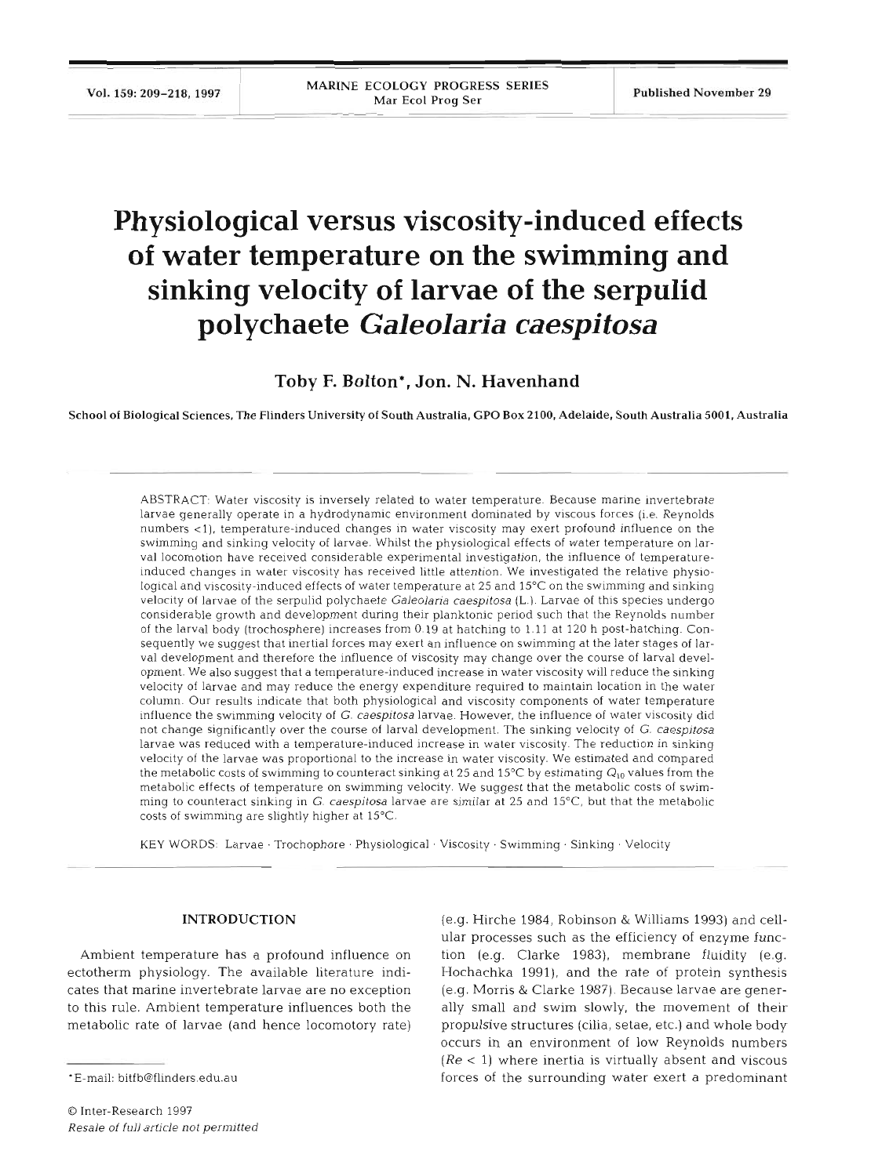## **Physiological versus viscosity-induced effects of water temperature on the swimming and sinking velocity of larvae of the serpulid polychaete** *Galeolaria caespitosa*

**Toby F. Bolton\*, Jon. N. Havenhand** 

School of Biological Sciences, The Flinders University of South Australia, GPO Box **2100,** Adelaide, South Australia **5001,** Australia

ABSTRACT: Water viscosity is inversely related to water temperature. Because marine invertebrate larvae generally operate in a hydrodynamic environment dominated by viscous forces (i.e. Reynolds numbers <1), temperature-induced changes in water viscosity may exert profound influence on the swimming and sinking velocity of larvae. Whilst the physiological effects of water temperature on larval locomotion have received considerable experimental investigation, the influence of temperatureinduced changes in water viscosity has received little attention. We investigated the relative physiological and viscosity-induced effects of water temperature at 25 and 15°C on the swimming and sinking velocity of larvae of the serpulid polychaete *Galeolaria caespitosa* (L.). Larvae of this species undergo considerable growth and development during their planktonic period such that the Reynolds number of the larval body (trochosphere) increases from 0.19 at hatching to 1.11 at 120 h post-hatching. Consequently we suggest that inertial forces may exert an influence on swimming at the later stages of larval development and therefore the influence of viscosity may change over the course of larval development. We also suggest that a temperature-induced increase in water viscosity will reduce the sinking velocity of larvae and may reduce the energy expenditure required to maintain location in the water column. Our results indicate that both physiological and viscosity components of water temperature influence the swimming velocity of G. *caespitosa* larvae. However, the influence of water viscosity did not change significantly over the course of larval development. The sinking velocity of G. *caespitosa*  larvae was reduced with a temperature-induced increase in water viscosity. The reduction in sinking velocity of the larvae was proportional to the increase in water viscosity. We estimated and compared the metabolic costs of swimming to counteract sinking at 25 and 15°C by estimating  $Q_{10}$  values from the metabolic effects of temperature on swimming velocity. We suggest that the metabolic costs of swimming to counteract sinking in G. *caespitosa* larvae are similar at 25 and 15"C, but that the metabolic costs of swimming are slightly higher at 15°C.

KEY WORDS: Larvae . Trochophore . Physiological . Viscosity . Swimming . Sinking . Velocity

### INTRODUCTION

Ambient temperature has a profound influence on ectotherm physiology. The available literature indicates that marine invertebrate larvae are no exception to this rule. Ambient temperature influences both the metabolic rate of larvae (and hence locomotory rate)

(e.g. Hirche 1984, Robinson & Williams 1993) and cellular processes such as the efficiency of enzyme function (e.g. Clarke 1983), membrane fluidity (e.g. Hochachka 1991), and the rate of protein synthesis (e.g. Morris & Clarke 1987). Because larvae are generally small and swim slowly, the movement of their propulsive structures (cilia, setae, etc.) and whole body occurs in an environment of low Reynolds numbers *(Re* < 1) where inertia is virtually absent and viscous forces of the surrounding water exert a predominant

<sup>\*</sup>E-mail: bitfb@flinders.edu.au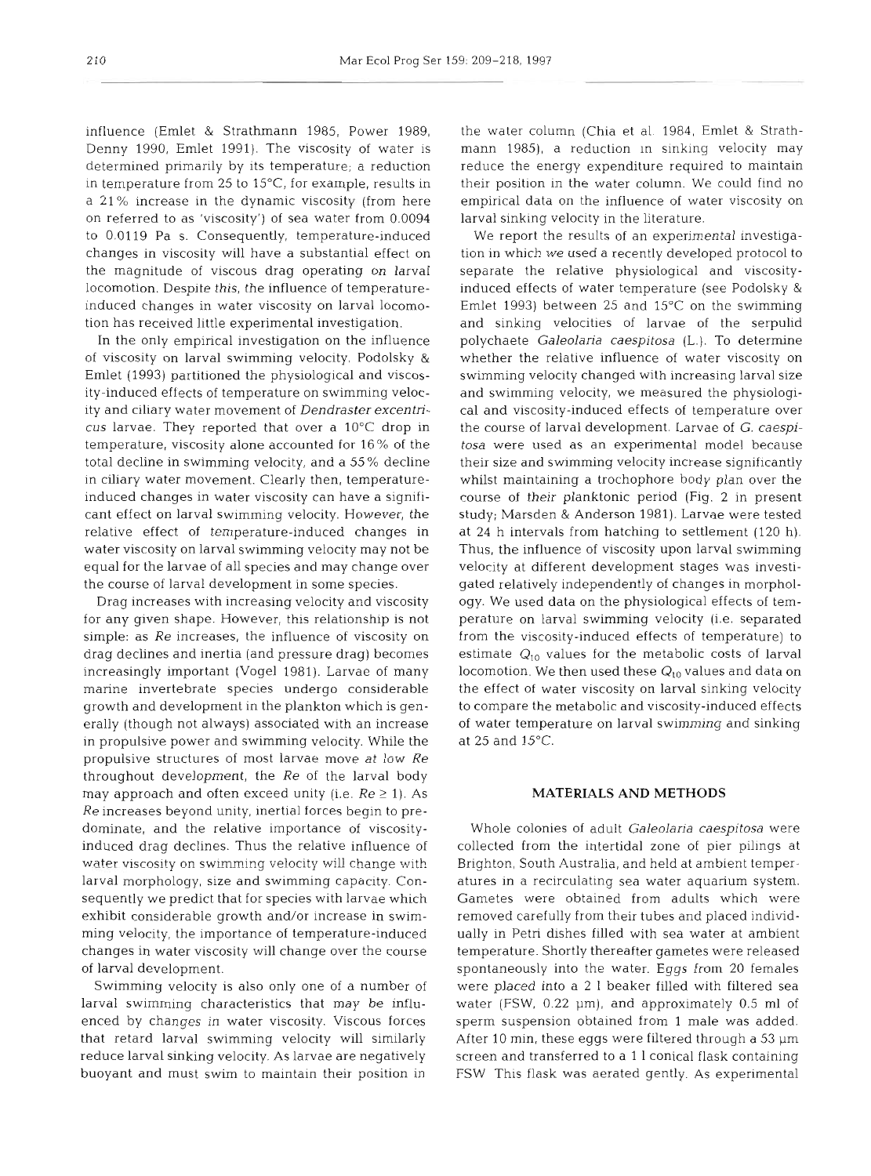influence (Emlet & Strathmann 1985, Power 1989, Denny 1990, Emlet 1991). The viscosity of water is determined primarily by its temperature; a reduction in temperature from 25 to 15"C, for example, results in a 21 % increase in the dynamic viscosity (from here on referred to as 'viscosity') of sea water from 0.0094 to 0.01 19 Pa S. Consequently, temperature-induced changes in viscosity will have a substantial effect on the magnitude of viscous drag operating on larval locomotion. Despite this, the influence of temperatureinduced changes in water viscosity on larval locomotion has received little experimental investigation.

In the only empirical investigation on the influence of viscosity on larval swimming velocity, Podolsky & Emlet (1993) partitioned the physiological and viscosity-induced effects of temperature on swimming velocity and ciliary water movement of *Dendraster excentricus* larvae. They reported that over a 10°C drop in temperature, viscosity alone accounted for  $16\%$  of the total decline in swimming velocity, and a 55 % decline in ciliary water movement. Clearly then, temperatureinduced changes in water viscosity can have a significant effect on larval swimming velocity. However, the relative effect of temperature-induced changes in water viscosity on larval swimming velocity may not be equal for the larvae of all species and may change over the course of larval development in some species.

Drag increases with increasing velocity and viscosity for any given shape. However, this relationship is not simple: as *Re* increases, the influence of viscosity on drag declines and inertia (and pressure drag) becomes increasingly important (Vogel 1981). Larvae of many marine invertebrate species undergo considerable growth and development in the plankton which is generally (though not always) associated with an increase in propulsive power and swimming velocity. While the propulsive structures of most larvae move at low *Re*  throughout development, the *Re* of the larval body may approach and often exceed unity (i.e.  $Re \ge 1$ ). As *Re* increases beyond unity, inertial forces begin to predominate, and the relative importance of viscosityinduced drag declines. Thus the relative influence of water viscosity on swimming velocity will change with larval morphology, size and swimming capacity. Consequently we predict that for species with larvae which exhibit considerable growth and/or increase in swimming velocity, the importance of temperature-induced changes in water viscosity will change over the course of larval development.

Swimming velocity is also only one of a number of larval swimming characteristics that may be influenced by changes in water viscosity. Viscous forces that retard larval swimming velocity will similarly reduce larval sinking velocity. As larvae are negatively buoyant and must swim to maintain their position in

the water column (Chia et al. 1984, Emlet & Strathmann 1985), a reduction in sinking velocity may reduce the energy expenditure required to maintain their position in the water column. We could find no empirical data on the influence of water viscosity on larval sinking velocity in the literature.

We report the results of an experimental investigation in which we used a recently developed protocol to separate the relative physiological and viscosityinduced effects of water temperature (see Podolsky & Emlet 1993) between 25 and 15°C on the swimming and sinking velocities of larvae of the serpulid polychaete *Galeolaria caespitosa* (L.). To determine whether the relative influence of water viscosity on swimming velocity changed with increasing larval size and swimming velocity, we measured the physiological and viscosity-induced effects of temperature over the course of larval development. Larvae of G. *caespitosa* were used as an experimental model because their size and swimming velocity increase significantly whilst maintaining a trochophore body plan over the course of their planktonic period (Fig. 2 in present study; Marsden & Anderson 1981). Larvae were tested at 24 h intervals from hatching to settlement (120 h). Thus, the influence of viscosity upon larval swimming velocity at different development stages was investigated relatively independently of changes in morphology. We used data on the physiological effects of temperature on larval swimming velocity (i.e. separated from the viscosity-induced effects of temperature) to estimate  $Q_{10}$  values for the metabolic costs of larval locomotion. We then used these  $Q_{10}$  values and data on the effect of water viscosity on larval sinking velocity to compare the metabolic and viscosity-induced effects of water temperature on larval swimming and sinking at 25 and  $15^{\circ}$ C.

## **MATERIALS AND METHODS**

Whole colonies of adult *Galeolaria caespitosa* were collected from the intertidal zone of pier pilings at Brighton, South Australia, and held at ambient temperatures in a recirculating sea water aquarium system. Gametes were obtained from adults which were removed carefully from their tubes and placed individually in Petri dishes filled with sea water at ambient temperature. Shortly thereafter gametes were released spontaneously into the water. Eggs from 20 females were placed into a 2 1 beaker filled with filtered sea water (FSW, 0.22 µm), and approximately 0.5 ml of sperm suspension obtained from 1 male was added. After 10 min, these eggs were filtered through a 53 pm screen and transferred to a 1 1 conical flask containing FSW This flask was aerated gently. As experimental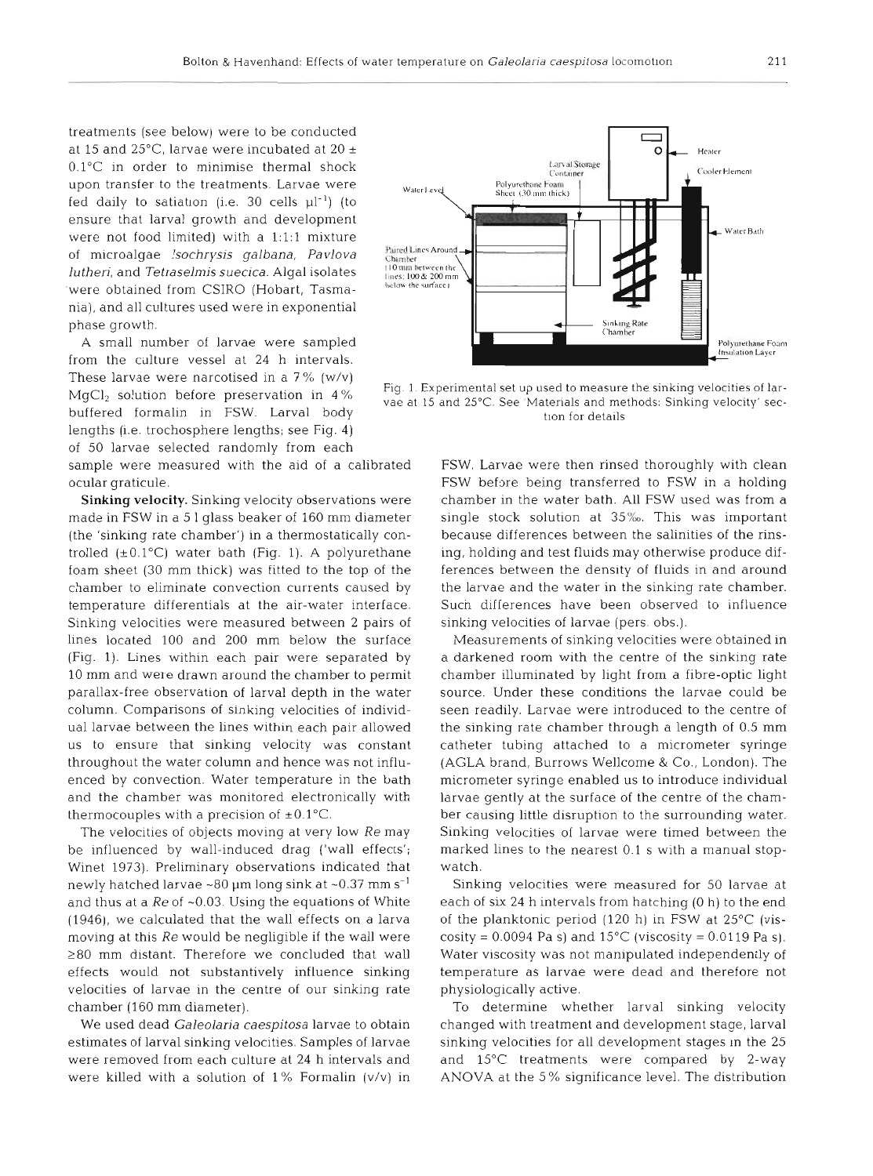treatments (see below) were to be conducted at 15 and  $25^{\circ}$ C, larvae were incubated at  $20 \pm$ O.l°C in order to minimise thermal shock upon transfer to the treatments. Larvae were  $\frac{W_{\text{aderr1}xvd}}{W_{\text{aderr1}xvd}}$  Polyurethane Feam fed daily to satiation (i.e. 30 cells  $\mu l^{-1}$ ) (to ensure that larval growth and development were not food limited) with a 1:1:1 mixture of microalgae *Isochrysis galbana*, Pavlova <sup>PairedLines Around<br>
Unthori and Totracelmic quocide Algalicolates (100000 between the</sup> *lutheri,* and *Tetraselmis suecica.* Algal isolates  $\frac{1000000 \text{ hours}}{\text{line.}}$ were obtained from CSIRO (Hobart, Tasmania), and all cultures used were in exponential phase growth.

These larvae were narcotised in a 7% (w/v)  $MqCl<sub>2</sub>$  solution before preservation in 4% buffered formalin in FSW. Larval body lengths (i.e. trochosphere lengths; see Fig. **4)**  of 50 larvae selected randomly from each

sample were measured with the aid of a calibrated ocular graticule.

**Sinking velocity.** Sinking velocity observations were made in FSW in a 5 1 glass beaker of 160 mm diameter (the 'sinking rate chamber') in a thermostatically controlled  $(\pm 0.1^{\circ}C)$  water bath (Fig. 1). A polyurethane foam sheet (30 mm thick) was fitted to the top of the chamber to eliminate convection currents caused by temperature differentials at the air-water interface. Sinking velocities were measured between 2 pairs of lines located 100 and 200 mm below the surface (Fig. 1). Lines within each pair were separated by 10 mm and were drawn around the chamber to permit parallax-free observation of larval depth in the water column. Comparisons of sinking velocities of individual larvae between the lines within each pair allowed us to ensure that sinking velocity was constant throughout the water column and hence was not influenced by convection. Water temperature in the bath and the chamber was monitored electronically with thermocouples with a precision of  $\pm 0.1^{\circ}$ C.

The velocities of objects moving at very low *Re* may be influenced by wall-induced drag ('wall effects'; Winet 1973). Preliminary observations indicated that newly hatched larvae  $\sim$ 80 µm long sink at  $\sim$ 0.37 mm s<sup>-1</sup> and thus at a *Re* of ~0.03. Using the equations of White (19461, we calculated that the wall effects on a larva moving at this *Re* would be negligible if the wall were  $\geq$ 80 mm distant. Therefore we concluded that wall effects would not substantively influence sinking velocities of larvae in the centre of our sinking rate chamber (160 mm diameter).

We used dead *Galeolaria caespitosa* larvae to obtain estimates of larval sinking velocities. Samples of larvae were removed from each culture at 24 h intervals and were killed with a solution of  $1\%$  Formalin (v/v) in



 15 and *25°C.*  See 'Materials and methods: Sinking velocity' sec-Experimental set up used to measure the sinking velocities of lartion for details

FSW. Larvae were then rinsed thoroughly with clean FSW before being transferred to FSW in a holding chamber in the water bath. All FSW used was from a single stock solution at 35%. This was important because differences between the salinities of the rinsing, holding and test fluids may otherwise produce differences between the density of fluids in and around the larvae and the water in the sinking rate chamber. Such differences have been observed to influence sinking velocities of larvae (pers. obs.).

Measurements of sinking velocities were obtained in a darkened room with the centre of the sinking rate chamber illuminated by light from a fibre-optic light source. Under these conditions the larvae could be seen readily. Larvae were introduced to the centre of the sinking rate chamber through a length of 0.5 mm catheter tubing attached to a micrometer syringe (AGLA brand, Burrows Wellcome & Co., London). The micrometer syringe enabled us to introduce individual larvae gently at the surface of the centre of the chamber causing little disruption to the surrounding water. Sinking velocities of larvae were timed between the marked lines to the nearest 0.1 s with a manual stopwatch.

Sinking velocities were measured for 50 larvae at each of six 24 h intervals from hatching (0 h) to the end of the planktonic period (120 h) in FSW at 25°C (viscosity =  $0.0094$  Pa s) and  $15^{\circ}$ C (viscosity =  $0.0119$  Pa s). Water viscosity was not manipulated independently of temperature as larvae were dead and therefore not physiologically active.

To determine whether larval sinking velocity changed with treatment and development stage, larval sinking velocities for all development stages in the 25 and 15°C treatments were compared by 2-way ANOVA at the 5% significance level. The distribution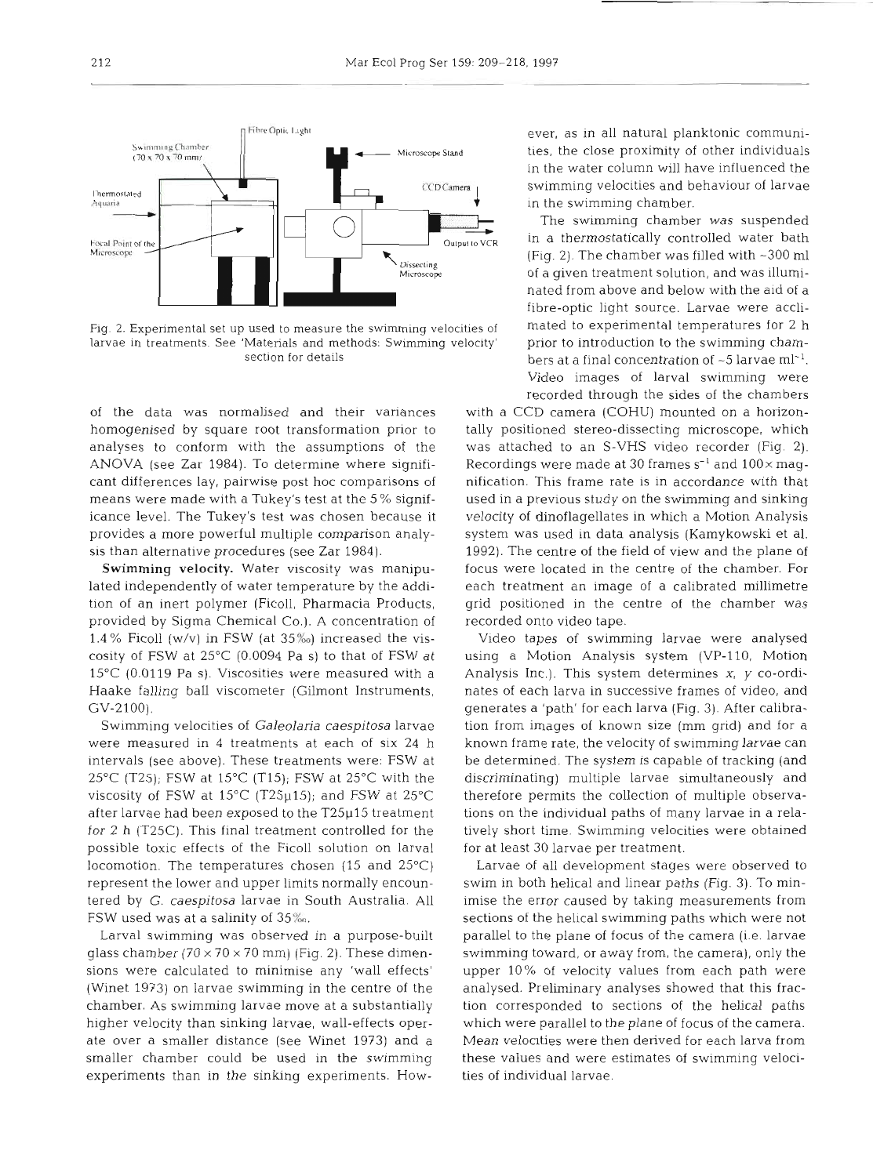

Fig. 2. Experimental set up used to measure the swimming velocities of larvae in treatments. See 'Materials and methods: Swimming velocity' section for details

of the data was normalised and their variances homogenised by square root transformation prior to analyses to conform with the assumptions of the ANOVA (see Zar 1984). To determine where significant differences lay, pairwise post hoc comparisons of means were made with a Tukey's test at the 5 % significance level. The Tukey's test was chosen because it provides a more powerful multiple comparison analysis than alternative procedures (see Zar 1984).

**Swimming velocity.** Water viscosity was manipulated independently of water temperature by the addition of an inert polymer (Ficoll, Pharmacia Products, provided by Sigma Chemical Co.). A concentration of 1.4 % Ficoll (w/v) in FSW (at  $35\%$ ) increased the viscosity of FSW at 25°C (0.0094 Pa S) to that of FSW at 15°C (0.0119 Pa S). Viscosities were measured with a Haake falling ball viscometer (Gilmont Instruments, GV-2100).

Swimming velocities of *Galeolana caespitosa* larvae were measured in 4 treatments at each of six 24 h intervals (see above). These treatments were: FSW at 25°C (T25); FSW at 15°C (T15); FSW at 25°C with the viscosity of FSW at  $15^{\circ}$ C (T25 $\mu$ 15); and FSW at 25 $^{\circ}$ C after larvae had been exposed to the T25p15 treatment for 2 h (T25C). This final treatment controlled for the possible toxic effects of the Ficoll solution on larval locomotion. The temperatures chosen (15 and 25°C) represent the lower and upper limits normally encountered by G. *caespitosa* larvae in South Australia. All FSW used was at a salinity of  $35\%$ .

Larval swimming was observed in a purpose-built glass chamber  $(70 \times 70 \times 70 \text{ mm})$  (Fig. 2). These dimensions were calculated to minimise any 'wall effects' (Winet 1973) on larvae swimming in the centre of the chamber. As swimming larvae move at a substantially higher velocity than sinking larvae, wall-effects operate over a smaller distance (see Winet 1973) and a smaller chamber could be used in the swimming experiments than in the sinking experiments. How-

ever, as in all natural planktonic communi-<br>ties, the close proximity of other individuals<br>in the water column will have influenced the<br>swimming velocities and behaviour of larves<br>in the swimming chamber.<br>The swimming cham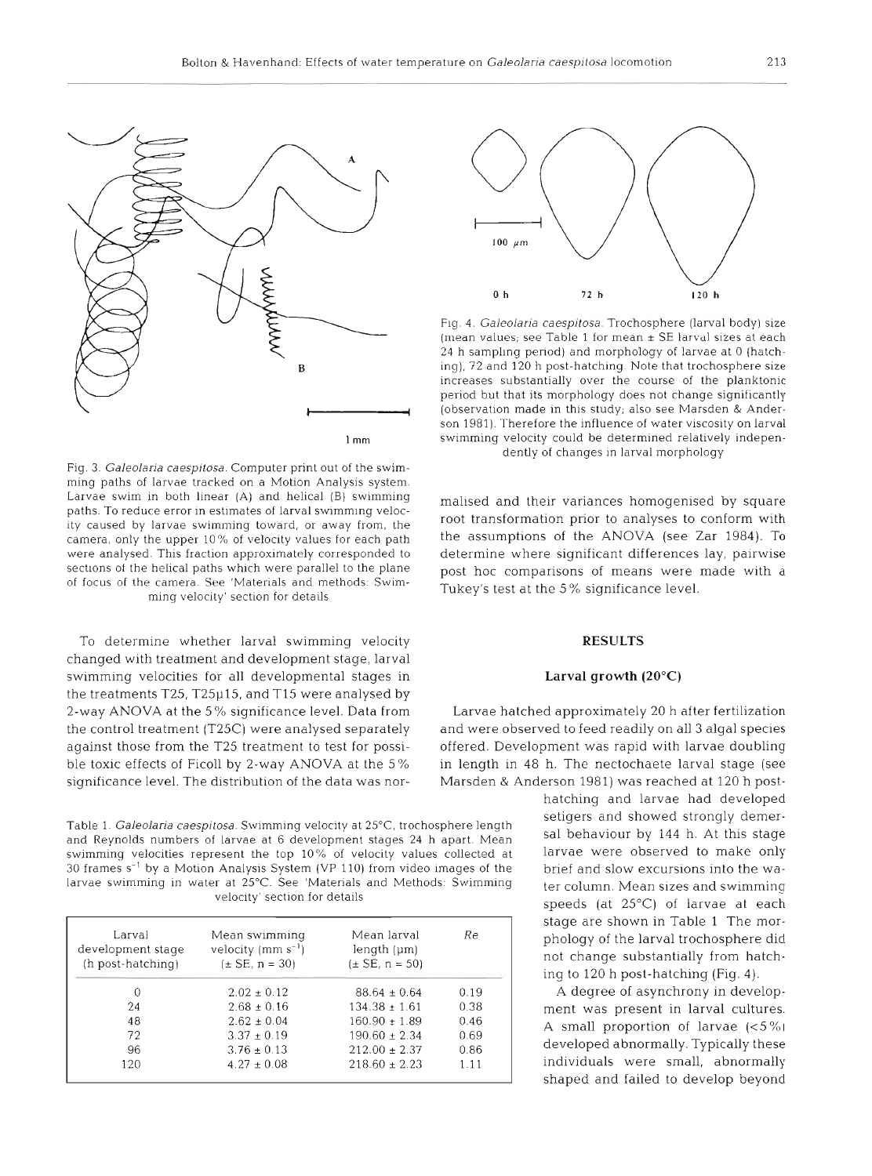

 $1<sub>mm</sub>$ 

Fig. 3. Galeolaria caespitosa. Computer print out of the swimming paths of larvae tracked on a Motion Analysis system. Larvae swim in both linear (A) and helical (B) swimming paths. To reduce error in estimates of larval swimming velocity caused by larvae swimming toward, or away from, the camera, only the upper 10% of velocity values for each path were analysed. This fraction approximately corresponded to sections of the helical paths which were parallel to the plane of focus of the camera. See 'Materials and methods: Swimming velocity' section for details

To determine whether larval swimming velocity changed with treatment and development stage, larval swimming velocities for all developmental stages in the treatments T25, T25p15, and T15 were analysed by 2-way ANOVA at the 5 % significance level. Data from the control treatment (T25C) were analysed separately against those from the T25 treatment to test for possible toxic effects of Ficoll by 2-way ANOVA at the 5% significance level. The distribution of the data was nor-

Table 1. Galeolaria caespitosa. Swimming velocity at 25°C, trochosphere length setigers and showed strongly demer-<br>and Peynolds numbers of larvae at 6 development stage 24 b apart. Mean sal behaviour by 144 h. At this stag and Reynolds numbers of larvae at 6 development stages 24 h apart. Mean behaviour by 144 h. At this stage<br>swimming velocities represent the top 10% of velocity values collected at larvae were observed to make only swimming velocities represent the top 10% of velocity values collected at 30 frames s<sup>-1</sup> by a Motion Analysis System (VP 110) from video images of the brief and slow excursions into the walarvae swimming in water at 25°C. See 'Materials and Methods: Swimming ter column. Mean sizes and swimming velocity section for details speeds (at 25°C) of larvae at each

| Larval<br>development stage<br>(h post-hatching) | Mean swimming<br>velocity $(mm s^{-1})$<br>$(\pm$ SE, n = 30) | Mean larval<br>length (µm)<br>$(\pm$ SE, n = 50) | Re   |
|--------------------------------------------------|---------------------------------------------------------------|--------------------------------------------------|------|
| $^{(1)}$                                         | $2.02 \pm 0.12$                                               | $88.64 \pm 0.64$                                 | 0.19 |
| 24                                               | $2.68 \pm 0.16$                                               | $134.38 \pm 1.61$                                | 0.38 |
| 48                                               | $2.62 \pm 0.04$                                               | $160.90 + 1.89$                                  | 0.46 |
| 72                                               | $3.37 \pm 0.19$                                               | $190.60 \pm 2.34$                                | 0.69 |
| 96                                               | $3.76 \pm 0.13$                                               | $212.00 + 2.37$                                  | 0.86 |
| 120                                              | $4.27 \pm 0.08$                                               | $218.60 + 2.23$                                  | 1.11 |



Fig. 4. *Galeolaria caespitosa*. Trochosphere (larval body) size (mean values; see Table 1 for mean  $\pm$  SE larval sizes at each 24 h sampling period) and morphology of larvee at 0 (hatch-<br>ingl, 72 and 120 h post-hatching

# **RESULTS Larval growth (20°C)**

Larvae hatched approximately 20 h after fertilization<br>and were observed to feed readily on all 3 algal species<br>offered. Development was rapid with larvae doubling<br>in length in 48 h. The nectochaete larval stage (see<br>Marsde

hatching and larvae had developed stage are shown in Table 1 The morphology of the larval trochosphere did not change substantially from hatching to 120 h post-hatching (Fig. 4).

A degree of asynchrony in development was present in larval cultures A small proportion of larvae  $(<5\%)$ developed abnormally. Typically these individuals were small, abnormally shaped and failed to develop beyond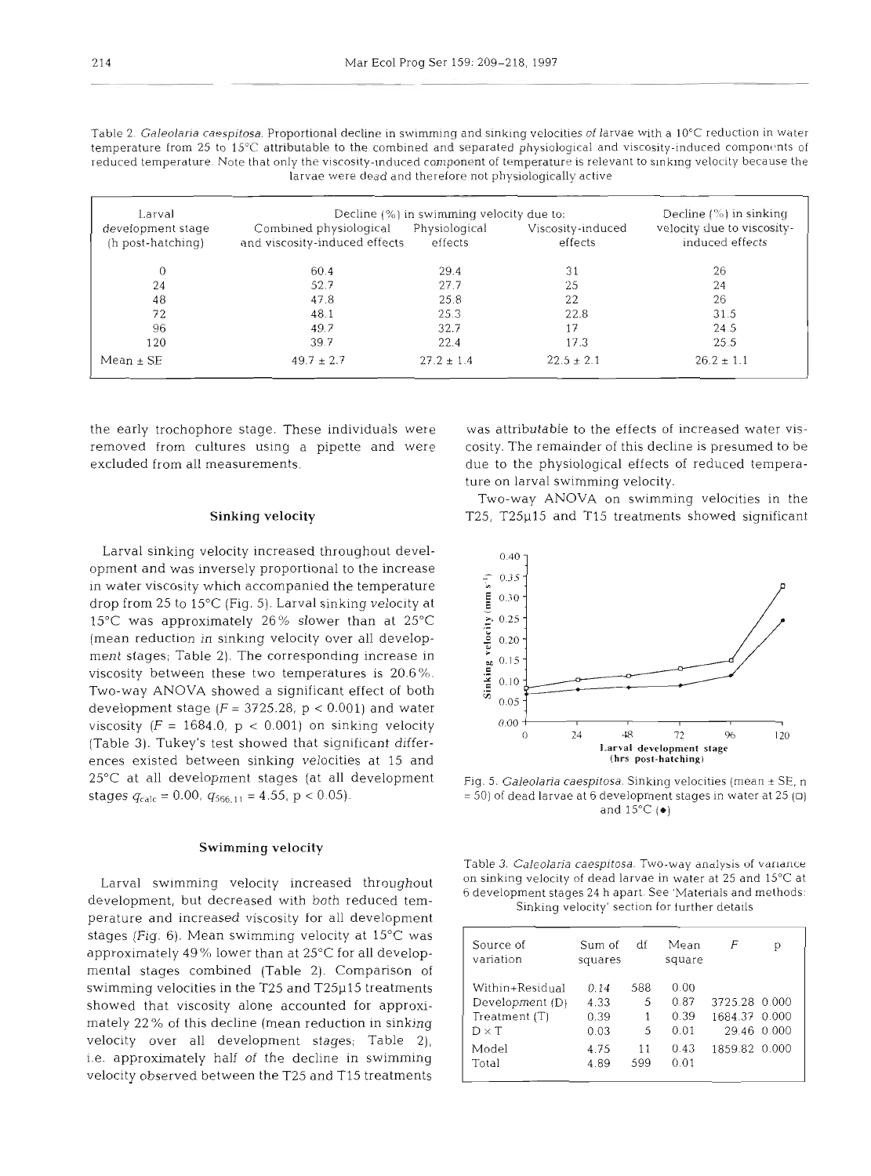| Table 2. Galeolaria caespitosa. Proportional decline in swimming and sinking velocities of larvae with a 10°C reduction in water |
|----------------------------------------------------------------------------------------------------------------------------------|
| temperature from 25 to 15°C attributable to the combined and separated physiological and viscosity-induced components of         |
| reduced temperature. Note that only the viscosity-induced component of temperature is relevant to sinking velocity because the   |
| larvae were dead and therefore not physiologically active                                                                        |
|                                                                                                                                  |
|                                                                                                                                  |

| Larval                                 | Decline $(\%)$ in sinking                               |                          |                              |                                               |
|----------------------------------------|---------------------------------------------------------|--------------------------|------------------------------|-----------------------------------------------|
| development stage<br>(h post-hatching) | Combined physiological<br>and viscosity-induced effects | Physiological<br>effects | Viscosity-induced<br>effects | velocity due to viscosity-<br>induced effects |
|                                        | 60.4                                                    | 29.4                     | 31                           | 26                                            |
| 24                                     | 52.7                                                    | 27.7                     | 25                           | 24                                            |
| 48                                     | 47.8                                                    | 25.8                     | 22                           | 26                                            |
| 72                                     | 48.1                                                    | 25.3                     | 22.8                         | 31.5                                          |
| 96                                     | 49.7                                                    | 32.7                     | 17                           | 24.5                                          |
| 120                                    | 39.7                                                    | 22.4                     | 17.3                         | 25.5                                          |
| $Mean \pm SE$                          | $49.7 \pm 2.7$                                          | $27.2 \pm 1.4$           | $22.5 \pm 2.1$               | $26.2 \pm 1.1$                                |

removed from cultures using a pipette and were cosity. The remainder of this decline is presumed to be excluded from all measurements. due to the physiological effects of reduced tempera-

Larval sinking velocity increased throughout development and was inversely proportional to the increase in water viscosity which accompanied the temperature drop from 25 to 15°C (Fig. 5). Larval sinking velocity at 15°C was approximately 26% slower than at 25°C (mean reduction in sinking velocity over all development stages; Table 2). The corresponding increase in viscosity between these two temperatures is 20.6%. Two-way ANOVA showed a significant effect of both development stage  $(F = 3725.28, p < 0.001)$  and water viscosity ( $F = 1684.0$ ,  $p < 0.001$ ) on sinking velocity (Table **3).** Tukey's test showed that significant differences existed between sinking velocities at 15 and 25°C at all development stages (at all development stages  $q_{\text{calc}} = 0.00$ ,  $q_{566, 11} = 4.55$ , p < 0.05).

#### **Swimming velocity**

Larval swimming velocity increased throughout development, but decreased with both reduced temperature and increased viscosity for all development stages (Fig.  $6$ ). Mean swimming velocity at  $15^{\circ}$ C was approximately 49% lower than at 25°C for all developmental stages combined (Table 2). Comparison of swimming velocities in the T25 and T25p15 treatments showed that viscosity alone accounted for approximately 22 % of this decline (mean reduction in sinking velocity over all development stages; Table 2), i.e. approximately half of the decline in swimming velocity observed between the T25 and T15 treatments

the early trochophore stage. These individuals were was attributable to the effects of increased water visture on larval swimming velocity.

> Two-way ANOVA on swimming velocities in the **Sinking velocity T25, T25p15 and T15 treatments showed significant**



Fig. 5. Galeolaria caespitosa. Sinking velocities (mean **k** SE, n  $= 50$ ) of dead larvae at 6 development stages in water at 25 ( $\Box$ ) and 15°C **(e)** 

| Table 3. <i>Galeolaria caespitosa</i> . Two-way analysis of variance            |  |
|---------------------------------------------------------------------------------|--|
| on sinking velocity of dead larvae in water at 25 and $15^{\circ}\textrm{C}$ at |  |
| 6 development stages 24 h apart. See 'Materials and methods:                    |  |
| Sinking velocity' section for further details                                   |  |

| Source of<br>variation                                                | Sum of<br>squares            | df                 | Mean<br>square               | F                              | р           |
|-----------------------------------------------------------------------|------------------------------|--------------------|------------------------------|--------------------------------|-------------|
| Within+Residual<br>Development (D)<br>Treatment $(T)$<br>$D \times T$ | 0.14<br>4.33<br>0.39<br>0.03 | 588<br>5<br>1<br>5 | 0.00<br>0.87<br>0.39<br>0.01 | 3725.28 0.000<br>1684.37 0.000 | 29.46 0.000 |
| Model<br>Total                                                        | 4.75<br>4.89                 | 11<br>599          | 0.43<br>0.01                 | 1859.82 0.000                  |             |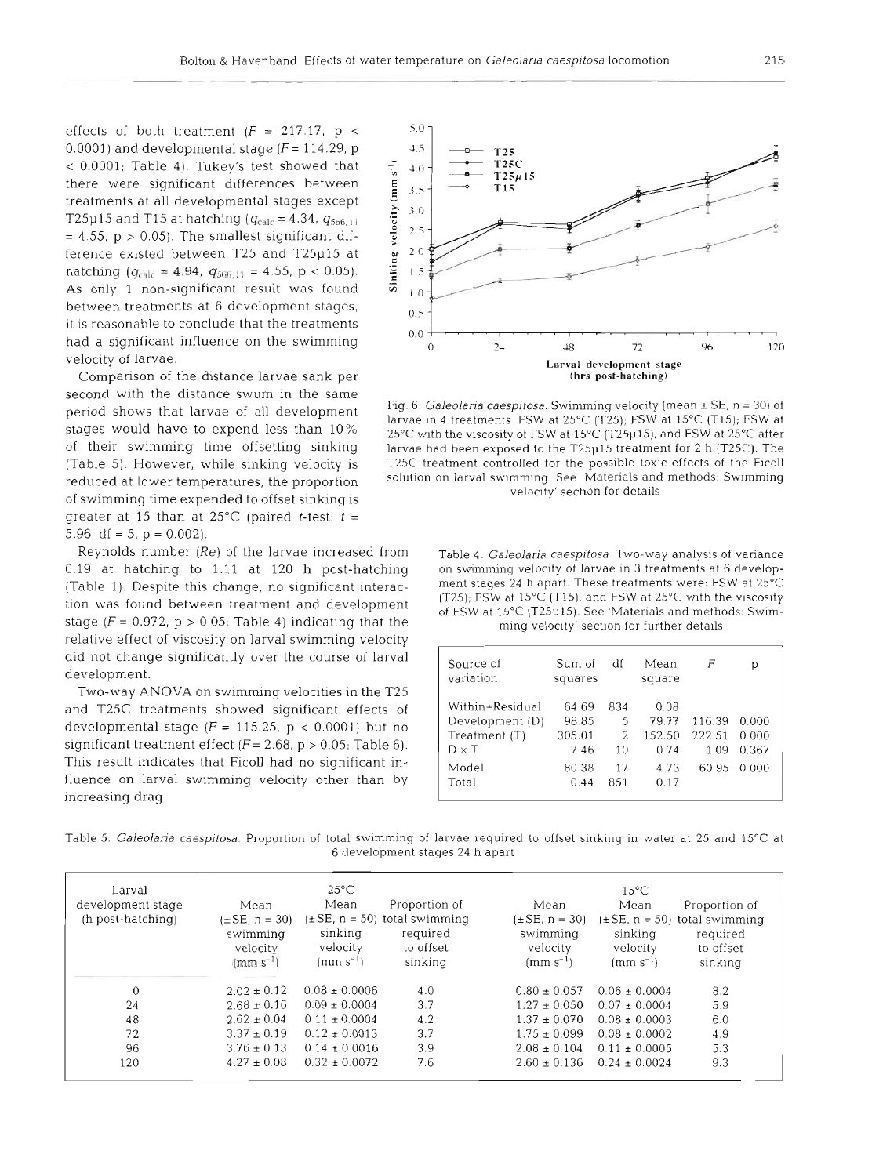P P -

effects of both treatment  $(F = 217.17, p <$ 0.0001) and developmental stage  $(F = 114.29, p$ <sup>&</sup>lt;0.0001; Table 4). Tukey's test showed that there were significant differences between treatments at all developmental stages except T25µ15 and T15 at hatching ( $q_{\text{calc}} = 4.34$ ,  $q_{5b6,11}$  $= 4.55$ ,  $p > 0.05$ ). The smallest significant difference existed between T25 and T25p15 at hatching ( $q_{\text{calc}} = 4.94$ ,  $q_{566,11} = 4.55$ , p < 0.05). As only 1 non-significant result was found between treatments at 6 development stages, it is reasonable to conclude that the treatments had a significant influence on the swimming velocity of larvae.

Comparison of the distance larvae sank per second with the distance swum in the same greater at 15 than at  $25^{\circ}$ C (paired *t*-test:  $t =$ 5.96, df = 5,  $p = 0.002$ ).

Reynolds number *(Re)* of the larvae increased from Table 4. Galeolaria caespjtosa, Two-way analysis of variance stage  $(F = 0.972, p > 0.05;$  Table 4) indicating that the ming velocity' section for further details relative effect of viscosity on larval swimming velocity did not change significantly over the course of larval development.

Two-way ANOVA on swimming velocities in the T25 and T25C treatments showed significant effects of developmental stage  $(F = 115.25, p < 0.0001)$  but no significant treatment effect  $(F = 2.68, p > 0.05;$  Table 6). This result indicates that Ficoll had no significant influence on larval swimming velocity other than by increasing drag.



Fig. 6. Galeolaria caespitosa. Swimming velocity (mean ± SE, n = 30) of<br>stages would have to expend less than 10% arvae in 4 treatments: FSW at 15°C (T25); FSW at 15°C (T15); FSW at<br>of their swimming time offsetting sinki larvae had been exposed to the T25 $\mu$ 15 treatment for 2 h (T25C). The (Table 5). However, while sinking velocity is T25C treatment controlled for the possible toxic effects of the Ficoll reduced at lower temperatures, the proportion solution on larval swimming. See 'Materials and methods: Swimming<br>of swimming time expended to offset sinking is velocity' section for details

0.19 at hatching to 1.11 at 120 h post-hatching on swimming velocity of larvae in 3 treatments at 6 develop-<br>(Table 1) Despite this change no significant interaction functions are the spart. These treatments were: FSW at (Table 1). Despite this change, no significant interac- ment stages 24 h apart. These treatments were. FSW at 25°C<br>(125); FSW at 15°C (T15); and FSW at 25°C with the viscosity tion was found between treatment and development the CT25); FSW at 15°C (T15); and FSW at 25°C with the viscosity<br>of FSW at 15°C (T25µ15). See 'Materials and methods: Swim-

| Source of<br>variation                                                | Sum of<br>squares                | df                  | Mean<br>square                  | F                        | р                       |
|-----------------------------------------------------------------------|----------------------------------|---------------------|---------------------------------|--------------------------|-------------------------|
| Within+Residual<br>Development (D)<br>Treatment $(T)$<br>$D \times T$ | 64.69<br>98.85<br>305.01<br>7.46 | 834<br>5<br>2<br>10 | 0.08<br>79.77<br>152.50<br>0.74 | 116.39<br>222.51<br>1.09 | 0.000<br>0.000<br>0.367 |
| Model<br>Total                                                        | 80.38<br>0.44                    | 17<br>851           | 4.73<br>0.17                    | 60.95                    | 0.000                   |

Table 5. Galeolaria caespitosa. Proportion of total swimming of larvae required to offset sinking in water at 25 and 15°C at 6 development stages 24 h apart

| Larval<br>development stage<br>(h post-hatching) | Mean<br>$(\pm SE, n = 30)$<br>swimming<br>velocity<br>$(mm s^{-1})$ | $25^{\circ}$ C<br>Mean<br>sinking<br>velocity<br>$(mm s^{-1})$ | Proportion of<br>$(\pm SE, n = 50)$ total swimming<br>required<br>to offset<br>sinking | Mean<br>$(\pm SE, n = 30)$<br>swimming<br>velocity<br>$(mm s^{-1})$ | $15^{\circ}$ C<br>Mean<br>sinking<br>velocity<br>$\rm (mm \; s^{-1})$ | Proportion of<br>$(\pm SE, n = 50)$ total swimming<br>required<br>to offset<br>sinking |
|--------------------------------------------------|---------------------------------------------------------------------|----------------------------------------------------------------|----------------------------------------------------------------------------------------|---------------------------------------------------------------------|-----------------------------------------------------------------------|----------------------------------------------------------------------------------------|
| $\Omega$                                         | $2.02 \pm 0.12$                                                     | $0.08 \pm 0.0006$                                              | 4.0                                                                                    | $0.80 \pm 0.057$                                                    | $0.06 + 0.0004$                                                       | 8.2                                                                                    |
| 24                                               | $2.68 \pm 0.16$                                                     | $0.09 \pm 0.0004$                                              | 3.7                                                                                    | $1.27 \pm 0.050$                                                    | $0.07 \pm 0.0004$                                                     | 5.9                                                                                    |
| 48                                               | $2.62 \pm 0.04$                                                     | $0.11 \pm 0.0004$                                              | 4.2                                                                                    | $1.37 \pm 0.070$                                                    | $0.08 + 0.0003$                                                       | 6.0                                                                                    |
| 72                                               | $3.37 \pm 0.19$                                                     | $0.12 \pm 0.0013$                                              | 3.7                                                                                    | $1.75 \pm 0.099$                                                    | $0.08 + 0.0002$                                                       | 4.9                                                                                    |
| 96                                               | $3.76 \pm 0.13$                                                     | $0.14 \pm 0.0016$                                              | 3.9                                                                                    | $2.08 \pm 0.104$                                                    | $0.11 + 0.0005$                                                       | 5.3                                                                                    |
| 120                                              | $4.27 \pm 0.08$                                                     | $0.32 \pm 0.0072$                                              | 7.6                                                                                    | $2.60 + 0.136$                                                      | $0.24 + 0.0024$                                                       | 9.3                                                                                    |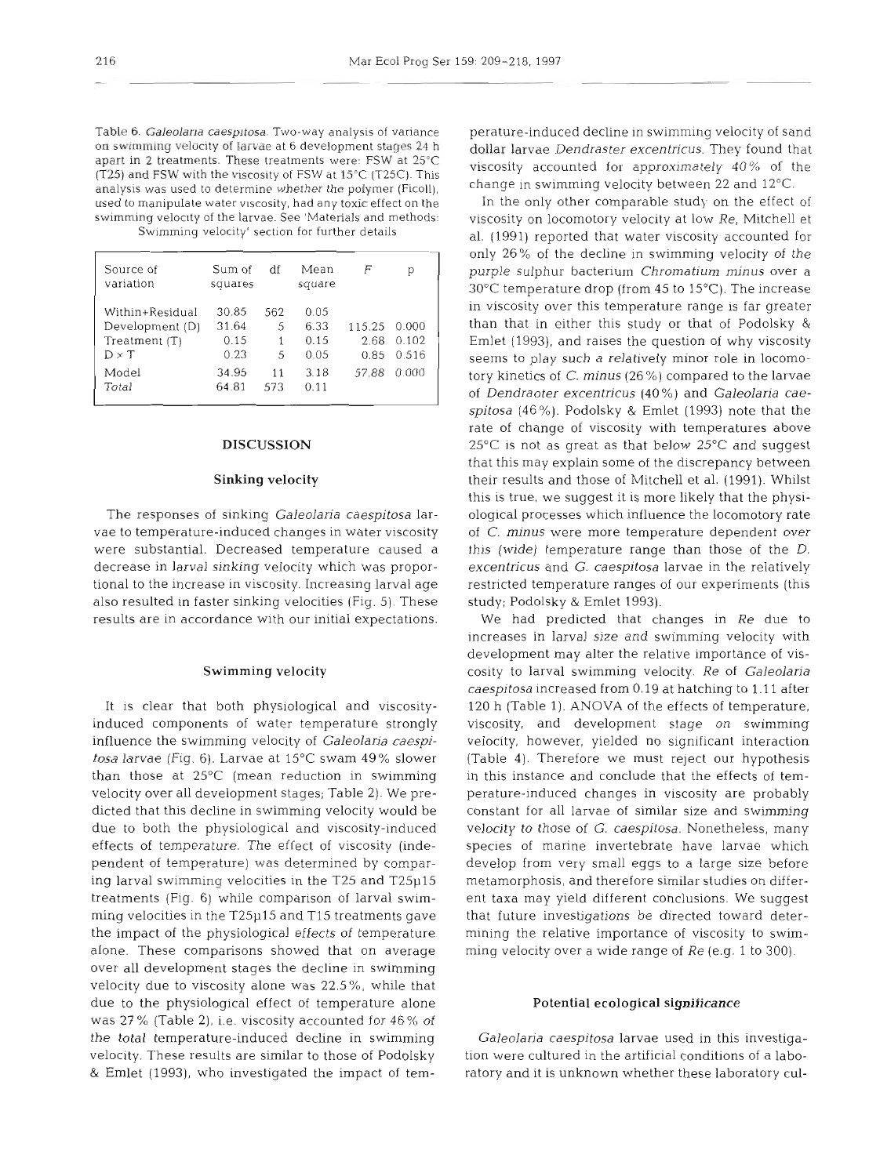Table 6. *Galeolana caespltosa.* Two-way analysis of variance on swimming velocity of larvae at 6 development stages 24 h apart in *2* treatments. These treatments were: FSW at 25°C (T25) and FSW with the viscosity of FSW at 15°C (T25C). This analysis was used to determine whether the polymer (Ficoll), used to manipulate water viscosity, had any toxic effect on the swimming velocity of the larvae. See 'Materials and methods: Swimming velocity' section for further details

| Source of<br>variation                                              | Sum of<br>squares              | df            | Mean<br>square               | F                      |                         |
|---------------------------------------------------------------------|--------------------------------|---------------|------------------------------|------------------------|-------------------------|
| Within+Residual<br>Development (D)<br>Treatment (T)<br>$D \times T$ | 30.85<br>31.64<br>0.15<br>0.23 | 562<br>5<br>5 | 0.05<br>6.33<br>0.15<br>0.05 | 115.25<br>2.68<br>0.85 | 0.000<br>0.102<br>0.516 |
| Model<br>Total                                                      | 34.95<br>64.81                 | 11<br>573     | 3.18<br>0.11                 | 57.88                  | 0.000                   |

## **DISCUSSION**

### Sinking velocity

The responses of sinking Galeolaria caespitosa larvae to temperature-induced changes in water viscosity were substantial. Decreased temperature caused a decrease in larval sinking velocity which was proportional to the increase in viscosity. Increasing larval age also resulted in faster sinking velocities (Fig. 5). These results are in accordance with our initial expectations.

#### Swimming velocity

It is clear that both physiological and viscosityinduced components of water temperature strongly influence the swimming velocity of Galeolaria caespitosa larvae (Fig. 6). Larvae at 15°C swam 49% slower than those at  $25^{\circ}$ C (mean reduction in swimming velocity over all development stages; Table 2). We predicted that this decline in swimming velocity would be due to both the physiological and viscosity-induced effects of temperature. The effect of viscosity (independent of temperature) was determined by comparing larval swimming velocities in the T25 and T25p15 treatments (Fig. 6) while comparison of larval swimming velocities in the T25p15 and T15 treatments gave the impact of the physiological effects of temperature alone. These comparisons showed that on average over all development stages the decline in swimming velocity due to viscosity alone was 22.5%, while that due to the physiological effect of temperature alone was 27% (Table 2), i.e. viscosity accounted for 46% of the total temperature-induced decline in swimming velocity. These results are similar to those of Podolsky & Emlet (1993), who investigated the impact of tem-

erature-induced decline in swimming velocity of sand<br>follar larvae *Dendraster excentricus*. They found that<br>iscosity accounted for approximately 40% of the<br>hange in swimming velocity between 22 and 12°C.<br>In the only othe

Emet (1993), and raises the question of why viscosity<br>cients to play such a relatively minor role in locomo-<br>energies of C. minus (26%) compared to the lavage<br>ory kinetics of C. minus (26%) compared to the lavage<br>ory kine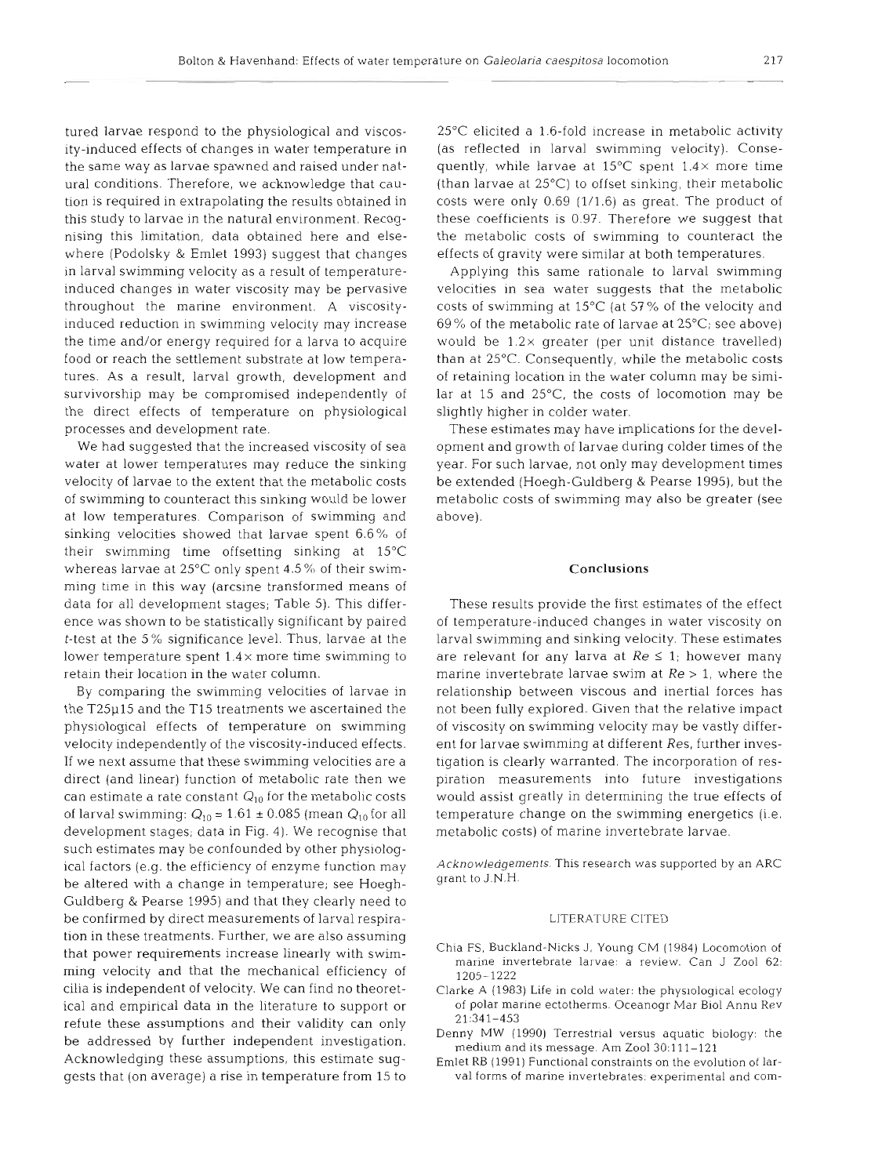tured larvae respond to the physiological and viscosity-induced effects of changes in water temperature in the same way as larvae spawned and raised under natural conditions. Therefore, we acknowledge that caution is required in extrapolating the results obtained in this study to larvae in the natural environment. Recognising this limitation, data obtained here and elsewhere (Podolsky & Emlet 1993) suggest that changes in larval swimming velocity as a result of temperatureinduced changes in water viscosity may be pervasive throughout the marine environment. A viscosityinduced reduction in swimming velocity may increase the time and/or energy required for a larva to acquire food or reach the settlement substrate at low temperatures. As a result, larval growth, development and survivorship may be compromised independently of the direct effects of temperature on physiological processes and development rate.

We had suggested that the increased viscosity of sea water at lower temperatures may reduce the sinking velocity of larvae to the extent that the metabolic costs of swimming to counteract this sinking would be lower at low temperatures. Comparison of swimming and sinking velocities showed that larvae spent 6.6% of their swimming time offsetting sinking at 15°C whereas larvae at  $25^{\circ}$ C only spent 4.5% of their swimming time in this way (arcsine transformed means of data for all development stages; Table 5). This difference was shown to be statistically significant by paired t-test at the 5 % significance level. Thus, larvae at the lower temperature spent 1.4 **X** more time swimming to retain their location in the water column.

By comparing the swimming velocities of larvae in the T25p15 and the T15 treatments we ascertained the physiological effects of temperature on swimming velocity independently of the viscosity-induced effects. If we next assume that these swimming velocities are a direct (and linear) function of metabolic rate then we can estimate a rate constant  $Q_{10}$  for the metabolic costs of larval swimming:  $Q_{10} = 1.61 \pm 0.085$  (mean  $Q_{10}$  for all development stages; data in Fig. 4). We recognise that such estimates may be confounded by other physiological factors (e.g. the efficiency of enzyme function may be altered with a change in temperature; see Hoegh-Guldberg & Pearse 1995) and that they clearly need to be confirmed by direct measurements of larval respiration in these treatments. Further, we are also assuming that power requirements increase linearly with swimming velocity and that the mechanical efficiency of cilia is independent of velocity. We can find no theoretical and empirical data in the literature to support or refute these assumptions and their validity can only be addressed by further independent investigation. Acknowledging these assumptions, this estimate suggests that (on average) a rise in temperature from 15 to

25°C elicited a 1.6-fold increase in metabolic activity (as reflected in larval swimming velocity). Consequently, while larvae at  $15^{\circ}$ C spent  $1.4 \times$  more time (than larvae at 25°C) to offset sinking, their metabolic costs were only 0.69 (1/1.6) as great. The product of these coefficients is 0.97. Therefore we suggest that the metabolic costs of swimming to counteract the effects of gravity were similar at both temperatures.

Applying this same rationale to larval swimming velocities in sea water suggests that the metabolic costs of swimming at  $15^{\circ}$ C (at 57% of the velocity and 69% of the metabolic rate of larvae at 25°C; see above) would be  $1.2 \times$  greater (per unit distance travelled) than at 25°C. Consequently, while the metabolic costs of retaining location in the water column may be similar at 15 and 25"C, the costs of locomotion may be slightly higher in colder water.

These estimates may have implications for the development and growth of larvae during colder times of the year. For such larvae, not only may development times be extended (Hoegh-Guldberg & Pearse 1995), but the metabolic costs of swimming may also be greater (see above).

#### Conclusions

These results provide the first estimates of the effect of temperature-induced changes in water viscosity on larval swimming and sinking velocity. These estimates are relevant for any larva at  $Re \leq 1$ ; however many marine invertebrate larvae swim at *Re* > 1, where the relationship between viscous and inertial forces has not been fully explored. Given that the relative impact of viscosity on swimming velocity may be vastly different for larvae swimming at different Res, further investigation is clearly warranted. The incorporation of respiration measurements into future investigations would assist greatly in determining the true effects of temperature change on the swimming energetics (i.e. metabolic costs) of marine invertebrate larvae.

Acknowledgements. This research was supported by an ARC grant to J.N.H

#### LITERATURE CITED

- Chia FS, Buckland-Nicks J, Young CM (1984) Locomotion of marine invertebrate larvae: a review. Can J Zool 62: 1205-1222
- Clarke A (1983) Life in cold water: the physiological ecology of polar marine ectotherms. Oceanogr Mar B101 Annu Rev 21:341-453
- Denny MW (1990) Terrestrial versus aquatic biology: the medium and its message. Am Zool 30:111-121
- Emlet RB (1991) Functional constraints on the evolution of larval forms of marine invertebrates: experimental and com-